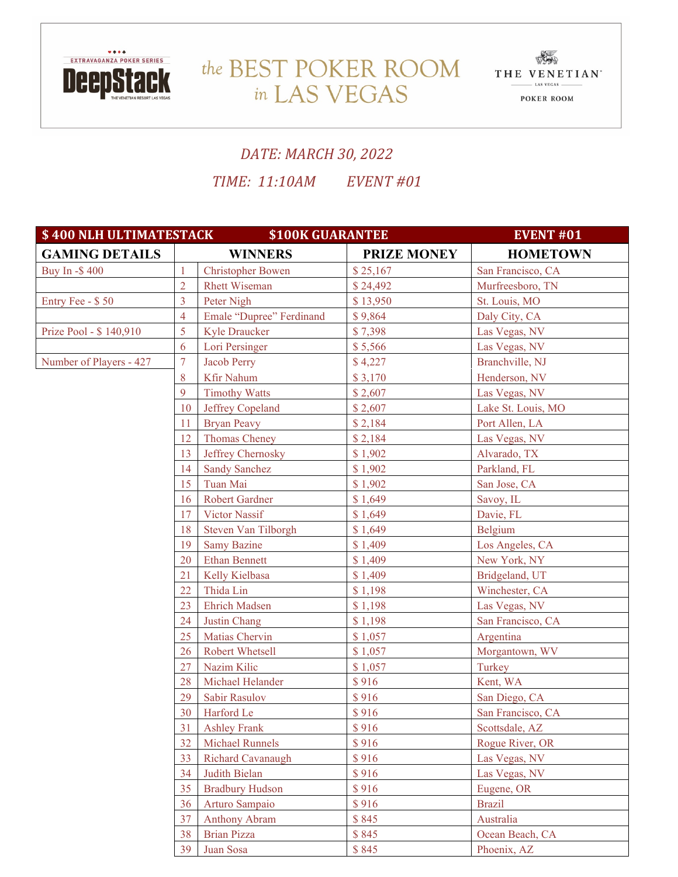

## the BEST POKER ROOM THE VENETIAN in LAS VEGAS



## *DATE: MARCH 30, 2022*

*TIME: 11:10AM EVENT #01*

| \$400 NLH ULTIMATESTACK<br><b>\$100K GUARANTEE</b><br><b>EVENT #01</b> |                |                          |                    |                    |
|------------------------------------------------------------------------|----------------|--------------------------|--------------------|--------------------|
| <b>GAMING DETAILS</b>                                                  | <b>WINNERS</b> |                          | <b>PRIZE MONEY</b> | <b>HOMETOWN</b>    |
| Buy In -\$400                                                          | $\mathbf{1}$   | <b>Christopher Bowen</b> | \$25,167           | San Francisco, CA  |
|                                                                        | $\overline{2}$ | <b>Rhett Wiseman</b>     | \$24,492           | Murfreesboro, TN   |
| Entry Fee - \$50                                                       | 3              | Peter Nigh               | \$13,950           | St. Louis, MO      |
|                                                                        | $\overline{4}$ | Emale "Dupree" Ferdinand | \$9,864            | Daly City, CA      |
| Prize Pool - \$140,910                                                 | 5              | <b>Kyle Draucker</b>     | \$7,398            | Las Vegas, NV      |
|                                                                        | 6              | Lori Persinger           | \$5,566            | Las Vegas, NV      |
| Number of Players - 427                                                | $\overline{7}$ | <b>Jacob Perry</b>       | \$4,227            | Branchville, NJ    |
|                                                                        | 8              | Kfir Nahum               | \$3,170            | Henderson, NV      |
|                                                                        | 9              | <b>Timothy Watts</b>     | \$2,607            | Las Vegas, NV      |
|                                                                        | 10             | Jeffrey Copeland         | \$2,607            | Lake St. Louis, MO |
|                                                                        | 11             | <b>Bryan Peavy</b>       | \$2,184            | Port Allen, LA     |
|                                                                        | 12             | Thomas Cheney            | \$2,184            | Las Vegas, NV      |
|                                                                        | 13             | Jeffrey Chernosky        | \$1,902            | Alvarado, TX       |
|                                                                        | 14             | <b>Sandy Sanchez</b>     | \$1,902            | Parkland, FL       |
|                                                                        | 15             | Tuan Mai                 | \$1,902            | San Jose, CA       |
|                                                                        | 16             | <b>Robert Gardner</b>    | \$1,649            | Savoy, IL          |
|                                                                        | 17             | Victor Nassif            | \$1,649            | Davie, FL          |
|                                                                        | 18             | Steven Van Tilborgh      | \$1,649            | Belgium            |
|                                                                        | 19             | <b>Samy Bazine</b>       | \$1,409            | Los Angeles, CA    |
|                                                                        | 20             | <b>Ethan Bennett</b>     | \$1,409            | New York, NY       |
|                                                                        | 21             | Kelly Kielbasa           | \$1,409            | Bridgeland, UT     |
|                                                                        |                | Thida Lin                | \$1,198            | Winchester, CA     |
|                                                                        | 23             | <b>Ehrich Madsen</b>     | \$1,198            | Las Vegas, NV      |
|                                                                        | 24             | Justin Chang             | \$1,198            | San Francisco, CA  |
|                                                                        | 25             | Matias Chervin           | \$1,057            | Argentina          |
|                                                                        | 26             | Robert Whetsell          | \$1,057            | Morgantown, WV     |
|                                                                        | 27             | Nazim Kilic              | \$1,057            | Turkey             |
|                                                                        | 28             | Michael Helander         | \$916              | Kent, WA           |
|                                                                        | 29             | Sabir Rasulov            | \$916              | San Diego, CA      |
|                                                                        | 30             | Harford Le               | \$916              | San Francisco, CA  |
|                                                                        | 31             | <b>Ashley Frank</b>      | \$916              | Scottsdale, AZ     |
|                                                                        | 32             | <b>Michael Runnels</b>   | \$916              | Rogue River, OR    |
|                                                                        | 33             | Richard Cavanaugh        | \$916              | Las Vegas, NV      |
|                                                                        | 34             | Judith Bielan            | \$916              | Las Vegas, NV      |
|                                                                        | 35             | <b>Bradbury Hudson</b>   | \$916              | Eugene, OR         |
|                                                                        | 36             | Arturo Sampaio           | \$916              | <b>Brazil</b>      |
|                                                                        | 37             | <b>Anthony Abram</b>     | \$845              | Australia          |
|                                                                        | 38             | <b>Brian Pizza</b>       | \$845              | Ocean Beach, CA    |
|                                                                        | 39             | Juan Sosa                | \$845              | Phoenix, AZ        |